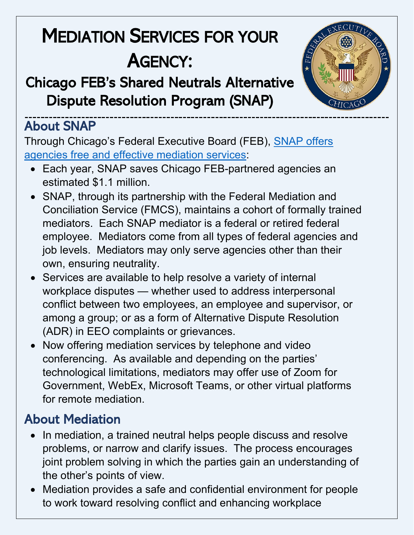# MEDIATION SERVICES FOR YOUR AGENCY:<br>Chicago FEB's Shared Neutrals Alternative

Dispute Resolution Program (SNAP)



#### About SNAP

Through Chicago's Federal Executive Board (FEB), [SNAP offers](https://chicago.feb.gov/mediation/)  agencies [free and effective mediation services:](https://chicago.feb.gov/mediation/)

- Each year, SNAP saves Chicago FEB-partnered agencies an estimated \$1.1 million.
- SNAP, through its partnership with the Federal Mediation and Conciliation Service (FMCS), maintains a cohort of formally trained mediators. Each SNAP mediator is a federal or retired federal employee. Mediators come from all types of federal agencies and job levels. Mediators may only serve agencies other than their own, ensuring neutrality.
- Services are available to help resolve a variety of internal workplace disputes — whether used to address interpersonal conflict between two employees, an employee and supervisor, or among a group; or as a form of Alternative Dispute Resolution (ADR) in EEO complaints or grievances.
- Now offering mediation services by telephone and video conferencing. As available and depending on the parties' technological limitations, mediators may offer use of Zoom for Government, WebEx, Microsoft Teams, or other virtual platforms for remote mediation.

### About Mediation

- In mediation, a trained neutral helps people discuss and resolve problems, or narrow and clarify issues. The process encourages joint problem solving in which the parties gain an understanding of the other's points of view.
- Mediation provides a safe and confidential environment for people to work toward resolving conflict and enhancing workplace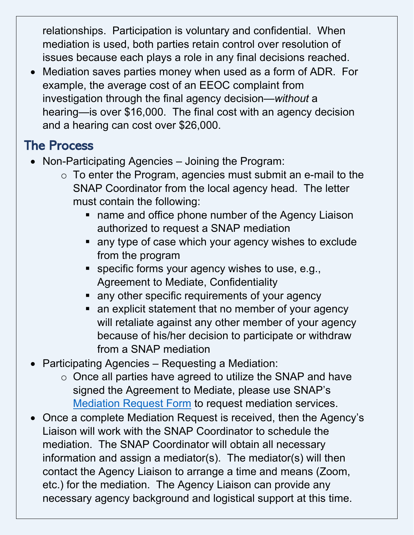relationships. Participation is voluntary and confidential. When mediation is used, both parties retain control over resolution of issues because each plays a role in any final decisions reached.

• Mediation saves parties money when used as a form of ADR. For example, the average cost of an EEOC complaint from investigation through the final agency decision—*without* a hearing—is over \$16,000. The final cost with an agency decision and a hearing can cost over \$26,000.

#### The Process

- Non-Participating Agencies Joining the Program:
	- $\circ$  To enter the Program, agencies must submit an e-mail to the SNAP Coordinator from the local agency head. The letter must contain the following:
		- **name and office phone number of the Agency Liaison** authorized to request a SNAP mediation
		- **any type of case which your agency wishes to exclude** from the program
		- **specific forms your agency wishes to use, e.g.,** Agreement to Mediate, Confidentiality
		- **Example 1** any other specific requirements of your agency
		- an explicit statement that no member of your agency will retaliate against any other member of your agency because of his/her decision to participate or withdraw from a SNAP mediation
- Participating Agencies Requesting a Mediation:
	- o Once all parties have agreed to utilize the SNAP and have signed the Agreement to Mediate, please use SNAP's [Mediation Request Form](https://chicagofeb.wufoo.com/forms/mediation-request-form/) to request mediation services.
- Once a complete Mediation Request is received, then the Agency's Liaison will work with the SNAP Coordinator to schedule the mediation. The SNAP Coordinator will obtain all necessary information and assign a mediator(s). The mediator(s) will then contact the Agency Liaison to arrange a time and means (Zoom, etc.) for the mediation. The Agency Liaison can provide any necessary agency background and logistical support at this time.